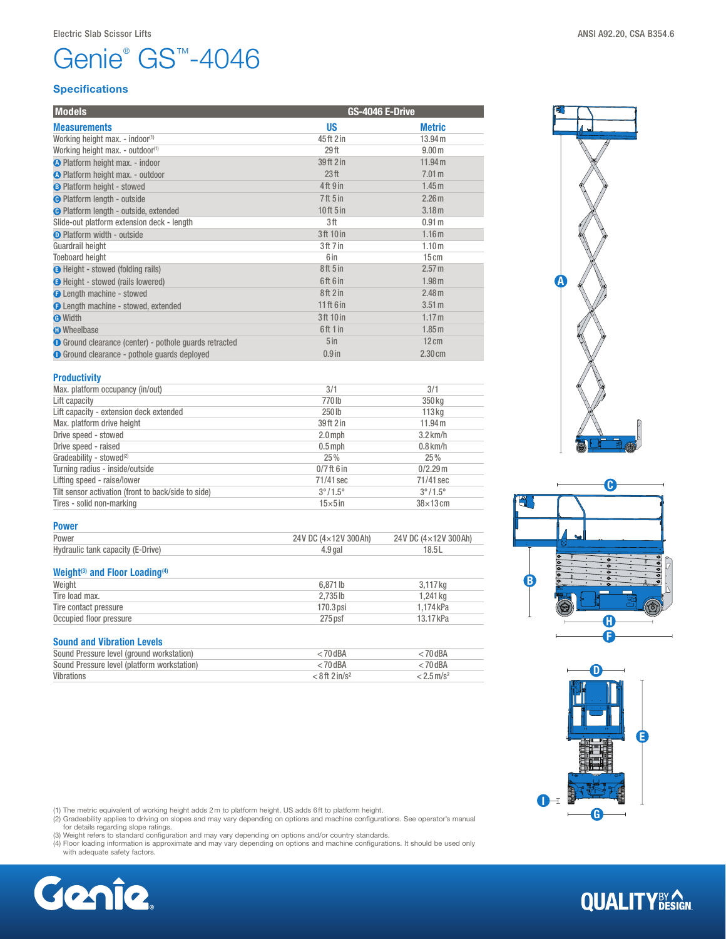# Genie® GS™-4046

# Specifications

| <b>Models</b>                                          | GS-4046 E-Drive                 |                   |  |
|--------------------------------------------------------|---------------------------------|-------------------|--|
| <b>Measurements</b>                                    | <b>US</b>                       | <b>Metric</b>     |  |
| Working height max. - indoor(1)                        | 45ft 2 in                       | 13.94 m           |  |
| Working height max. - outdoor(1)                       | 29 <sub>ft</sub>                | 9.00 <sub>m</sub> |  |
| <b>O</b> Platform height max. - indoor                 | 39 ft 2 in                      | 11.94 m           |  |
| O Platform height max. - outdoor                       | 23 <sup>ft</sup>                | 7.01 <sub>m</sub> |  |
| <b>B</b> Platform height - stowed                      | 4 <sup>th</sup> 9 <sup>in</sup> | 1.45m             |  |
| <b>O</b> Platform length - outside                     | <b>7ft 5 in</b>                 | 2.26 <sub>m</sub> |  |
| <b>O</b> Platform length - outside, extended           | 10ft 5in                        | 3.18 <sub>m</sub> |  |
| Slide-out platform extension deck - length             | 3ft                             | 0.91 <sub>m</sub> |  |
| <b>O</b> Platform width - outside                      | 3ft 10 in                       | 1.16 <sub>m</sub> |  |
| Guardrail height                                       | 3ft 7 in                        | 1.10 <sub>m</sub> |  |
| <b>Toeboard height</b>                                 | 6 in                            | 15cm              |  |
| <b>G</b> Height - stowed (folding rails)               | 8ft 5 in                        | 2.57 m            |  |
| <b>O</b> Height - stowed (rails lowered)               | 6ft 6in                         | 1.98 <sub>m</sub> |  |
| <b>O</b> Length machine - stowed                       | 8ft 2 in                        | 2.48 <sub>m</sub> |  |
| <b>O</b> Length machine - stowed, extended             | $11ff$ 6 in                     | $3.51 \text{ m}$  |  |
| <b>O</b> Width                                         | 3ft 10 in                       | 1.17 <sub>m</sub> |  |
| <b>O</b> Wheelbase                                     | 6ft 1 in                        | 1.85m             |  |
| ● Ground clearance (center) - pothole guards retracted | 5 <sub>in</sub>                 | 12cm              |  |
| <b>O</b> Ground clearance - pothole quards deployed    | $0.9$ in                        | $2.30 \text{ cm}$ |  |

## **Productivity**

Power

Weight<sup>(3)</sup> and Floor Loading<sup>(4)</sup>

Sound and Vibration Levels

| <b>TRANSPORT</b>                                    |                         |                         |
|-----------------------------------------------------|-------------------------|-------------------------|
| Max. platform occupancy (in/out)                    | 3/1                     | 3/1                     |
| Lift capacity                                       | 770lb                   | 350 kg                  |
| Lift capacity - extension deck extended             | 250 <sub>1b</sub>       | $113$ kg                |
| Max. platform drive height                          | 39 ft 2 in              | 11.94 m                 |
| Drive speed - stowed                                | $2.0$ mph               | $3.2$ km/h              |
| Drive speed - raised                                | $0.5$ mph               | $0.8$ km/h              |
| Gradeability - stowed <sup>(2)</sup>                | 25%                     | 25%                     |
| Turning radius - inside/outside                     | $0/7$ ft 6 in           | $0/2.29$ m              |
| Lifting speed - raise/lower                         | 71/41 sec               | 71/41 sec               |
| Tilt sensor activation (front to back/side to side) | $3^{\circ}/1.5^{\circ}$ | $3^{\circ}/1.5^{\circ}$ |
| Tires - solid non-marking                           | $15\times 5$ in         | $38\times13$ cm         |

Power 24V DC (4×12V 300Ah) 24V DC (4×12V 300Ah) 24V DC (4×12V 300Ah) Hydraulic tank capacity (E-Drive) and the capacity of the capacity of the capacity of the capacity of the capacity of the capacity of the capacity of the capacity of the capacity of the capacity of the capacity of the capa

Weight  $6,871$  lb  $3,117$  kg Tire load max. 1,241 kg Tire contact pressure 1,174 kPa Occupied floor pressure 275 psf 13.17 kPa

Sound Pressure level (ground workstation)  $<$  70 dBA  $<$  70 dBA  $<$  70 dBA  $<$  70 dBA Sound Pressure level (platform workstation)  $<$  70 dBA  $<$  70 dBA  $<$  70 dBA Vibrations  $<$  8 ft 2 in/s<sup>2</sup>  $<$  8 ft 2 in/s<sup>2</sup>  $<$  2.5 m/s<sup>2</sup>

# A



# E D



(1) The metric equivalent of working height adds 2m to platform height. US adds 6ft to platform height.

(2) Gradeability applies to driving on slopes and may vary depending on options and machine configurations. See operator's manual<br>for details regarding slope ratings.<br>(3) Weight refers to standard configuration and may var

(4) Floor loading information is approximate and may vary depending on options and machine configurations. It should be used only with adequate safety factors.